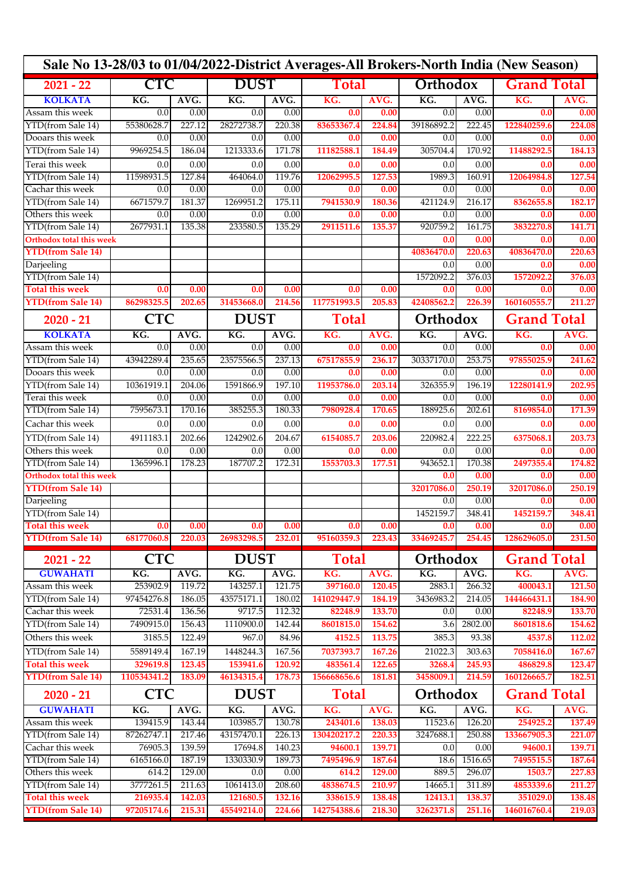| Sale No 13-28/03 to 01/04/2022-District Averages-All Brokers-North India (New Season) |                   |                |                  |                |                   |                |                   |                |                    |                    |  |
|---------------------------------------------------------------------------------------|-------------------|----------------|------------------|----------------|-------------------|----------------|-------------------|----------------|--------------------|--------------------|--|
| $2021 - 22$                                                                           | <b>CTC</b>        |                | <b>DUST</b>      |                | Total             |                | Orthodox          |                | <b>Grand Total</b> |                    |  |
| <b>KOLKATA</b>                                                                        | KG.               | AVG.           | KG.              | AVG.           | KG.               | AVG.           | $\overline{KG}$ . | AVG.           | KG.                | AVG.               |  |
| Assam this week                                                                       | 0.0               | 0.00           | 0.0              | 0.00           | 0.0               | 0.00           | 0.0               | 0.00           | 0.0                | 0.00               |  |
| YTD(from Sale 14)                                                                     | 55380628.7        | 227.12         | 28272738.7       | 220.38         | 83653367.4        | 224.84         | 39186892.2        | 222.45         | 122840259.6        | 224.08             |  |
| Dooars this week                                                                      | 0.0               | 0.00           | 0.0              | 0.00           | 0.0               | 0.00           | 0.0               | 0.00           | 0.0                | 0.00               |  |
| YTD(from Sale 14)                                                                     | 9969254.5         | 186.04         | 1213333.6        | 171.78         | 11182588.1        | 184.49         | 305704.4          | 170.92         | 11488292.5         | 184.13             |  |
| Terai this week                                                                       | 0.0               | 0.00           | 0.0              | 0.00           | 0.0               | 0.00           | 0.0               | 0.00           | 0.0                | 0.00               |  |
| YTD(from Sale 14)                                                                     | 11598931.5        | 127.84         | 464064.0         | 119.76         | 12062995.5        | 127.53         | 1989.3            | 160.91         | 12064984.8         | 127.54             |  |
| Cachar this week                                                                      | 0.0               | 0.00           | 0.0              | 0.00           | 0.0               | 0.00           | 0.0               | 0.00           | 0.0                | 0.00               |  |
| YTD(from Sale 14)                                                                     | 6671579.7         | 181.37         | 1269951.2        | 175.11         | 7941530.9         | 180.36         | 421124.9          | 216.17         | 8362655.8          | 182.17             |  |
| Others this week                                                                      | 0.0               | 0.00           | 0.0              | 0.00           | 0.0               | 0.00           | 0.0               | 0.00           | 0.0                | 0.00               |  |
| YTD(from Sale 14)                                                                     | 2677931.1         | 135.38         | 233580.5         | 135.29         | 2911511.6         | 135.37         | 920759.2          | 161.75         | 3832270.8          | 141.71             |  |
| <b>Orthodox total this week</b>                                                       |                   |                |                  |                |                   |                | 0.0               | 0.00           | 0.0                | 0.00               |  |
| <b>YTD(from Sale 14)</b>                                                              |                   |                |                  |                |                   |                | 40836470.0<br>0.0 | 220.63<br>0.00 | 40836470.0<br>0.0  | 220.63             |  |
| Darjeeling<br>YTD(from Sale 14)                                                       |                   |                |                  |                |                   |                | 1572092.2         | 376.03         | 1572092.2          | 0.00<br>376.03     |  |
| <b>Total this week</b>                                                                | 0.0               | 0.00           | 0.0              | 0.00           | 0.0               | 0.00           | 0.0               | 0.00           | 0.0                | 0.00               |  |
| <b>YTD(from Sale 14)</b>                                                              | 86298325.5        | 202.65         | 31453668.0       | 214.56         | 117751993.5       | 205.83         | 42408562.2        | 226.39         | 160160555.7        | 211.27             |  |
|                                                                                       |                   |                |                  |                |                   |                |                   |                |                    |                    |  |
| $2020 - 21$                                                                           | <b>CTC</b>        |                | <b>DUST</b>      |                | Total             |                |                   | Orthodox       |                    | <b>Grand Total</b> |  |
| <b>KOLKATA</b>                                                                        | KG.               | AVG.           | KG.              | AVG.           | KG.               | AVG.           | KG.               | AVG.           | KG.                | AVG.               |  |
| Assam this week                                                                       | 0.0               | 0.00           | 0.0              | 0.00           | 0.0               | 0.00           | 0.0               | 0.00           | 0.0                | 0.00<br>241.62     |  |
| YTD(from Sale 14)<br>Dooars this week                                                 | 43942289.4<br>0.0 | 235.65<br>0.00 | 23575566.5       | 237.13<br>0.00 | 67517855.9<br>0.0 | 236.17<br>0.00 | 30337170.0<br>0.0 | 253.75<br>0.00 | 97855025.9<br>0.0  |                    |  |
| YTD(from Sale 14)                                                                     | 10361919.1        | 204.06         | 0.0<br>1591866.9 | 197.10         | 11953786.0        | 203.14         | 326355.9          | 196.19         | 12280141.9         | 0.00<br>202.95     |  |
| Terai this week                                                                       | 0.0               | 0.00           | 0.0              | 0.00           | 0.0               | 0.00           | 0.0               | 0.00           | 0.0                | 0.00               |  |
| YTD(from Sale 14)                                                                     | 7595673.1         | 170.16         | 385255.3         | 180.33         | 7980928.4         | 170.65         | 188925.6          | 202.61         | 8169854.0          | 171.39             |  |
| Cachar this week                                                                      | 0.0               | 0.00           | 0.0              | 0.00           | 0.0               | 0.00           | 0.0               | 0.00           | 0.0                | 0.00               |  |
|                                                                                       |                   |                |                  |                |                   |                |                   |                |                    |                    |  |
| YTD(from Sale 14)<br>Others this week                                                 | 4911183.1<br>0.0  | 202.66<br>0.00 | 1242902.6<br>0.0 | 204.67<br>0.00 | 6154085.7<br>0.0  | 203.06<br>0.00 | 220982.4<br>0.0   | 222.25<br>0.00 | 6375068.1<br>0.0   | 203.73<br>0.00     |  |
| YTD(from Sale 14)                                                                     | 1365996.1         | 178.23         | 187707.2         | 172.31         | 1553703.3         | 177.51         | 943652.1          | 170.38         | 2497355.4          | 174.82             |  |
| <b>Orthodox total this week</b>                                                       |                   |                |                  |                |                   |                | 0.0               | 0.00           | 0.0                | 0.00               |  |
| <b>YTD(from Sale 14)</b>                                                              |                   |                |                  |                |                   |                | 32017086.0        | 250.19         | 32017086.0         | 250.19             |  |
| Darjeeling                                                                            |                   |                |                  |                |                   |                | 0.0               | 0.00           | 0.0                | 0.00               |  |
| YTD(from Sale 14)                                                                     |                   |                |                  |                |                   |                | 1452159.7         | 348.41         | 1452159.7          | 348.41             |  |
| <b>Total this week</b>                                                                | 0.0               | 0.00           | 0.0              | 0.00           | 0.0               | 0.00           | 0.0               | 0.00           | 0.0                | 0.00               |  |
| <b>YTD</b> (from Sale 14)                                                             | 68177060.8        | 220.03         | 26983298.5       | 232.01         | 95160359.3        | 223.43         | 33469245.7        | 254.45         | 128629605.0        | 231.50             |  |
| $2021 - 22$                                                                           | <b>CTC</b>        |                | <b>DUST</b>      |                | <b>Total</b>      |                | Orthodox          |                | <b>Grand Total</b> |                    |  |
| <b>GUWAHATI</b>                                                                       | KG.               | AVG.           | KG.              | AVG.           | KG.               | AVG.           | KG.               | AVG.           | KG.                | AVG.               |  |
| Assam this week                                                                       | 253902.9          | 119.72         | 143257.1         | 121.75         | 397160.0          | 120.45         | 2883.1            | 266.32         | 400043.1           | 121.50             |  |
| YTD(from Sale 14)                                                                     | 97454276.8        | 186.05         | 43575171.1       | 180.02         | 141029447.9       | 184.19         | 3436983.2         | 214.05         | 144466431.1        | 184.90             |  |
| Cachar this week                                                                      | 72531.4           | 136.56         | 9717.5           | 112.32         | 82248.9           | 133.70         | 0.0               | 0.00           | 82248.9            | 133.70             |  |
| YTD(from Sale 14)                                                                     | 7490915.0         | 156.43         | 1110900.0        | 142.44         | 8601815.0         | 154.62         | 3.6               | 2802.00        | 8601818.6          | 154.62             |  |
| Others this week                                                                      | 3185.5            | 122.49         | 967.0            | 84.96          | 4152.5            | 113.75         | 385.3             | 93.38          | 4537.8             | 112.02             |  |
| YTD(from Sale 14)                                                                     | 5589149.4         | 167.19         | 1448244.3        | 167.56         | 7037393.7         | 167.26         | 21022.3           | 303.63         | 7058416.0          | 167.67             |  |
| <b>Total this week</b>                                                                | 329619.8          | 123.45         | 153941.6         | 120.92         | 483561.4          | 122.65         | 3268.4            | 245.93         | 486829.8           | 123.47             |  |
| <b>YTD(from Sale 14)</b>                                                              | 110534341.2       | 183.09         | 46134315.4       | 178.73         | 156668656.6       | 181.81         | 3458009.1         | 214.59         | 160126665.7        | 182.51             |  |
| $2020 - 21$                                                                           | <b>CTC</b>        |                | <b>DUST</b>      |                | <b>Total</b>      |                | Orthodox          |                | <b>Grand Total</b> |                    |  |
| <b>GUWAHATI</b>                                                                       | KG.               | AVG.           | KG.              | AVG.           | KG.               | AVG.           | KG.               | AVG.           | KG.                | AVG.               |  |
| Assam this week                                                                       | 139415.9          | 143.44         | 103985.7         | 130.78         | 243401.6          | 138.03         | 11523.6           | 126.20         | 254925.2           | 137.49             |  |
| YTD(from Sale 14)                                                                     | 87262747.1        | 217.46         | 43157470.1       | 226.13         | 130420217.2       | 220.33         | 3247688.1         | 250.88         | 133667905.3        | 221.07             |  |
| Cachar this week                                                                      | 76905.3           | 139.59         | 17694.8          | 140.23         | 94600.1           | 139.71         | 0.0               | 0.00           | 94600.1            | 139.71             |  |
| YTD(from Sale 14)                                                                     | 6165166.0         | 187.19         | 1330330.9        | 189.73         | 7495496.9         | 187.64         | 18.6              | 1516.65        | 7495515.5          | 187.64             |  |
| Others this week                                                                      | 614.2             | 129.00         | 0.0              | 0.00           | 614.2             | 129.00         | 889.5             | 296.07         | 1503.7             | 227.83             |  |
| YTD(from Sale 14)                                                                     | 3777261.5         | 211.63         | 1061413.0        | 208.60         | 4838674.5         | 210.97         | 14665.1           | 311.89         | 4853339.6          | 211.27             |  |
| <b>Total this week</b>                                                                | 216935.4          | 142.03         | 121680.5         | 132.16         | 338615.9          | 138.48         | 12413.1           | 138.37         | 351029.0           | 138.48             |  |
| <b>YTD(from Sale 14)</b>                                                              | 97205174.6        | 215.31         | 45549214.0       | 224.66         | 142754388.6       | 218.30         | 3262371.8         | 251.16         | 146016760.4        | 219.03             |  |